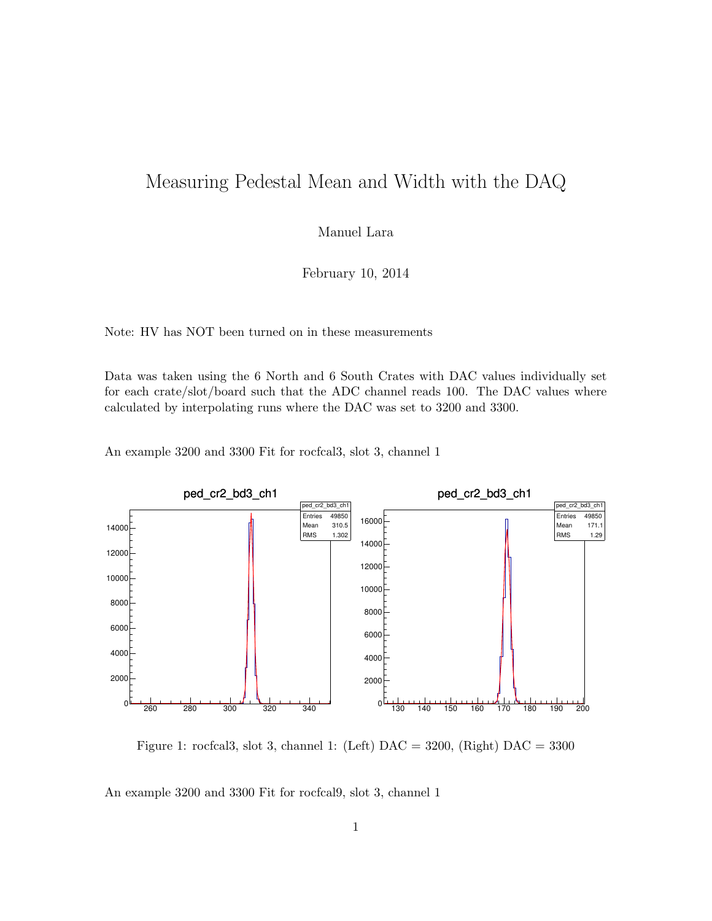## Measuring Pedestal Mean and Width with the DAQ

Manuel Lara

February 10, 2014

Note: HV has NOT been turned on in these measurements

Data was taken using the 6 North and 6 South Crates with DAC values individually set for each crate/slot/board such that the ADC channel reads 100. The DAC values where calculated by interpolating runs where the DAC was set to 3200 and 3300.

An example 3200 and 3300 Fit for rocfcal3, slot 3, channel 1



Figure 1: rocfcal3, slot 3, channel 1: (Left)  $\text{DAC} = 3200$ , (Right)  $\text{DAC} = 3300$ 

An example 3200 and 3300 Fit for rocfcal9, slot 3, channel 1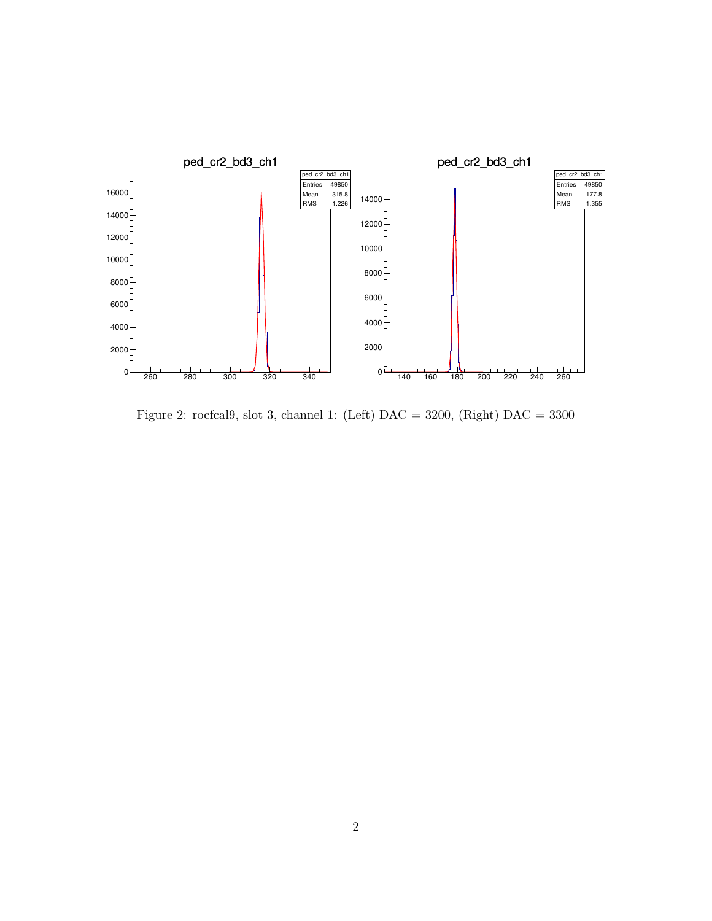

Figure 2: rocfcal9, slot 3, channel 1: (Left)  $DAC = 3200$ , (Right)  $DAC = 3300$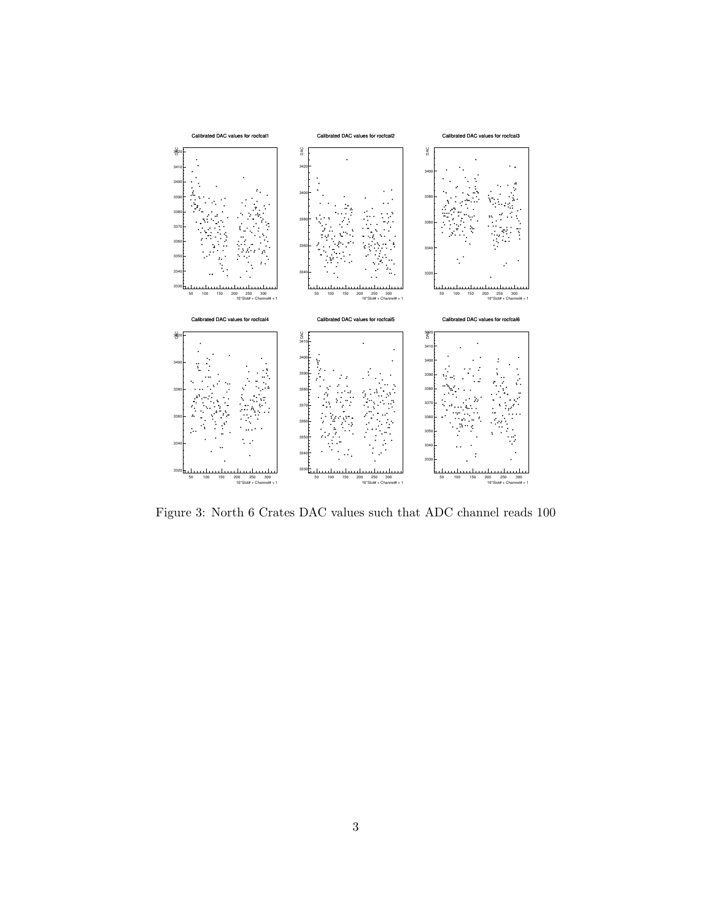

Figure 3: North 6 Crates DAC values such that ADC channel reads 100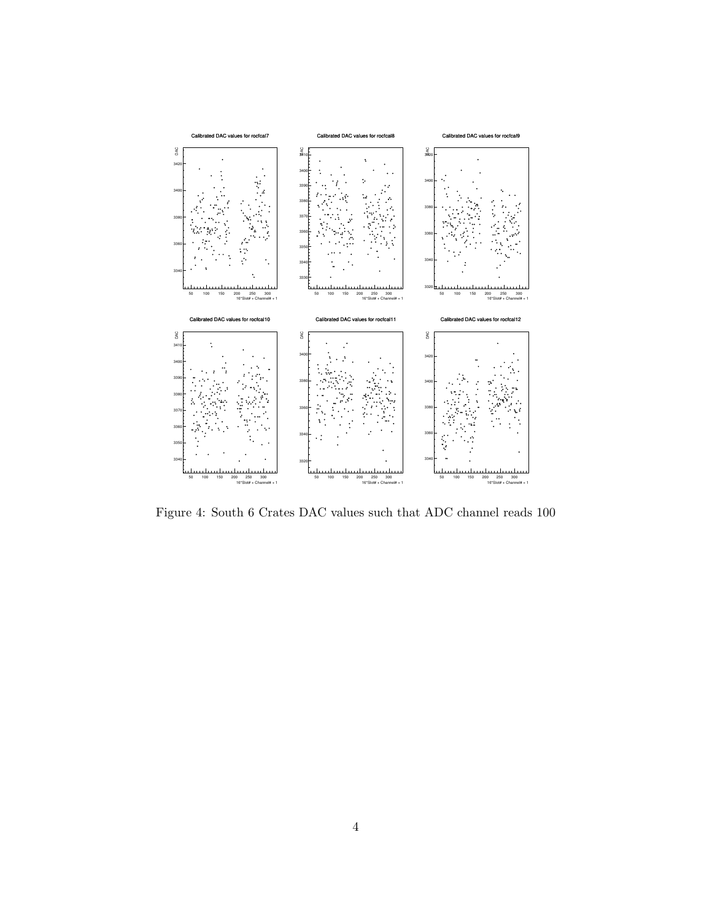

Figure 4: South 6 Crates DAC values such that ADC channel reads 100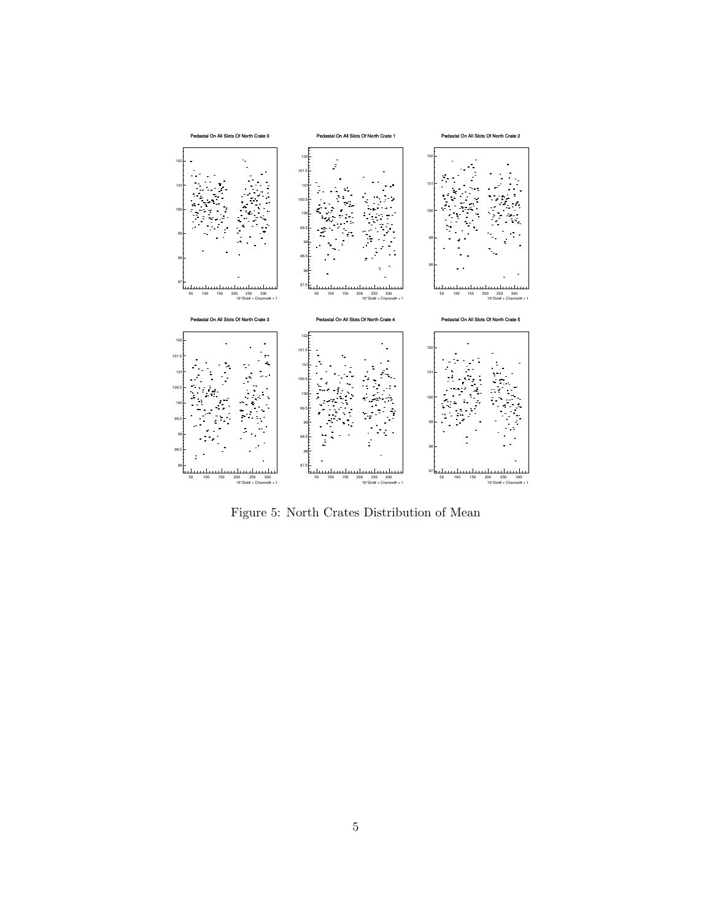

Figure 5: North Crates Distribution of Mean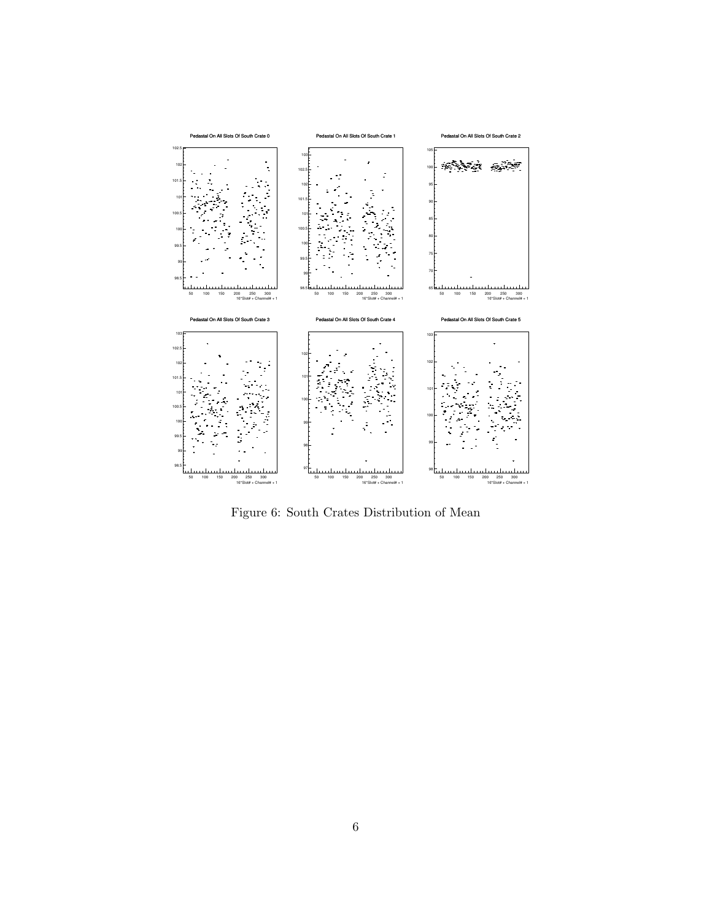

Figure 6: South Crates Distribution of Mean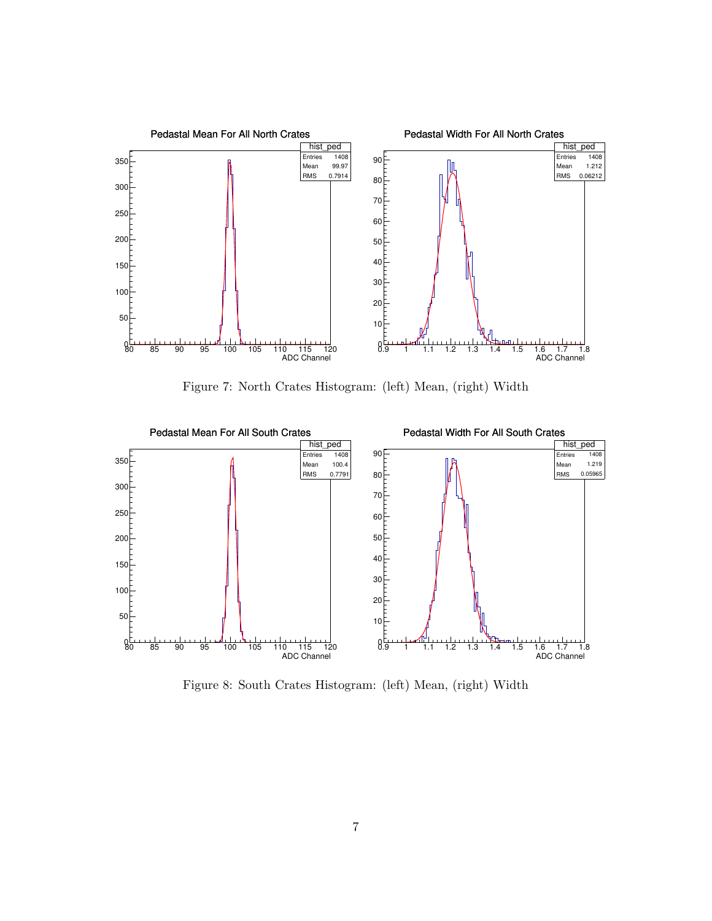

Figure 7: North Crates Histogram: (left) Mean, (right) Width



Figure 8: South Crates Histogram: (left) Mean, (right) Width